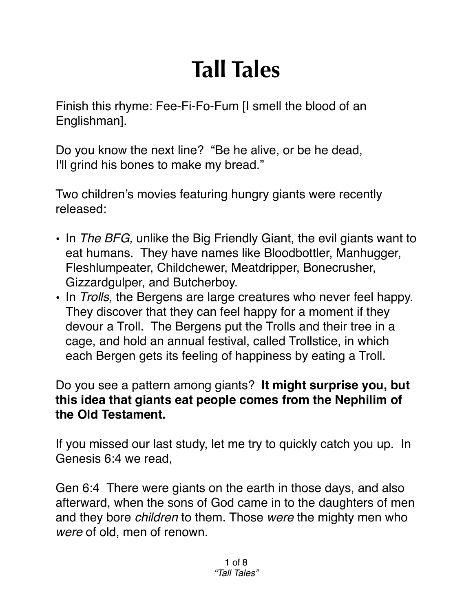## **Tall Tales**

Finish this rhyme: Fee-Fi-Fo-Fum [I smell the blood of an Englishman].

Do you know the next line? "Be he alive, or be he dead, I'll grind his bones to make my bread."

Two children's movies featuring hungry giants were recently released:

- In *The BFG,* unlike the Big Friendly Giant, the evil giants want to eat humans. They have names like Bloodbottler, Manhugger, Fleshlumpeater, Childchewer, Meatdripper, Bonecrusher, Gizzardgulper, and Butcherboy.
- In *Trolls,* the Bergens are large creatures who never feel happy. They discover that they can feel happy for a moment if they devour a Troll. The Bergens put the Trolls and their tree in a cage, and hold an annual festival, called Trollstice, in which each Bergen gets its feeling of happiness by eating a Troll.

## Do you see a pattern among giants? **It might surprise you, but this idea that giants eat people comes from the Nephilim of the Old Testament.**

If you missed our last study, let me try to quickly catch you up. In Genesis 6:4 we read,

Gen 6:4 There were giants on the earth in those days, and also afterward, when the sons of God came in to the daughters of men and they bore *children* to them. Those *were* the mighty men who *were* of old, men of renown.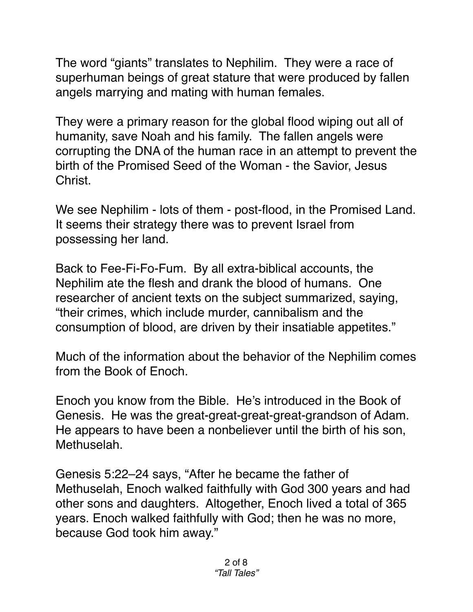The word "giants" translates to Nephilim. They were a race of superhuman beings of great stature that were produced by fallen angels marrying and mating with human females.

They were a primary reason for the global flood wiping out all of humanity, save Noah and his family. The fallen angels were corrupting the DNA of the human race in an attempt to prevent the birth of the Promised Seed of the Woman - the Savior, Jesus Christ.

We see Nephilim - lots of them - post-flood, in the Promised Land. It seems their strategy there was to prevent Israel from possessing her land.

Back to Fee-Fi-Fo-Fum. By all extra-biblical accounts, the Nephilim ate the flesh and drank the blood of humans. One researcher of ancient texts on the subject summarized, saying, "their crimes, which include murder, cannibalism and the consumption of blood, are driven by their insatiable appetites."

Much of the information about the behavior of the Nephilim comes from the Book of Enoch.

Enoch you know from the Bible. He's introduced in the Book of Genesis. He was the great-great-great-great-grandson of Adam. He appears to have been a nonbeliever until the birth of his son, Methuselah.

[Genesis 5:22–24](https://biblia.com/bible/esv/Gen%205.22%E2%80%9324) says, "After he became the father of Methuselah, Enoch walked faithfully with God 300 years and had other sons and daughters. Altogether, Enoch lived a total of 365 years. Enoch walked faithfully with God; then he was no more, because God took him away."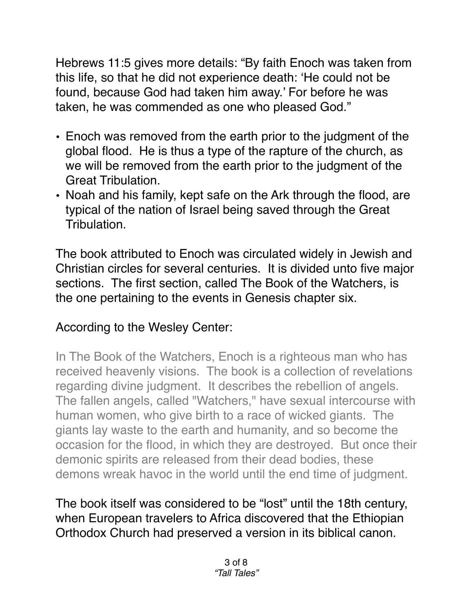[Hebrews 11:5](https://biblia.com/bible/esv/Heb%2011.5) gives more details: "By faith Enoch was taken from this life, so that he did not experience death: 'He could not be found, because God had taken him away.' For before he was taken, he was commended as one who pleased God."

- Enoch was removed from the earth prior to the judgment of the global flood. He is thus a type of the rapture of the church, as we will be removed from the earth prior to the judgment of the Great Tribulation.
- Noah and his family, kept safe on the Ark through the flood, are typical of the nation of Israel being saved through the Great Tribulation.

The book attributed to Enoch was circulated widely in Jewish and Christian circles for several centuries. It is divided unto five major sections. The first section, called The Book of the Watchers, is the one pertaining to the events in Genesis chapter six.

## According to the Wesley Center:

In The Book of the Watchers, Enoch is a righteous man who has received heavenly visions. The book is a collection of revelations regarding divine judgment. It describes the rebellion of angels. The fallen angels, called "Watchers," have sexual intercourse with human women, who give birth to a race of wicked giants. The giants lay waste to the earth and humanity, and so become the occasion for the flood, in which they are destroyed. But once their demonic spirits are released from their dead bodies, these demons wreak havoc in the world until the end time of judgment.

The book itself was considered to be "lost" until the 18th century, when European travelers to Africa discovered that the Ethiopian Orthodox Church had preserved a version in its biblical canon.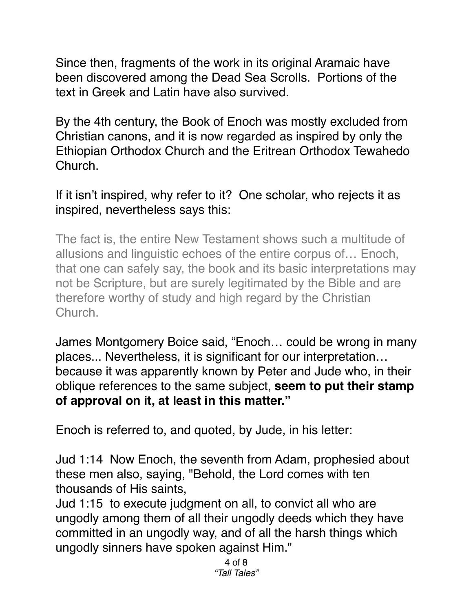Since then, fragments of the work in its original Aramaic have been discovered among the Dead Sea Scrolls. Portions of the text in Greek and Latin have also survived.

By the 4th century, the Book of Enoch was mostly excluded from Christian canons, and it is now regarded as inspired by only the Ethiopian Orthodox Church and the Eritrean Orthodox Tewahedo Church.

If it isn't inspired, why refer to it? One scholar, who rejects it as inspired, nevertheless says this:

The fact is, the entire New Testament shows such a multitude of allusions and linguistic echoes of the entire corpus of… Enoch, that one can safely say, the book and its basic interpretations may not be Scripture, but are surely legitimated by the Bible and are therefore worthy of study and high regard by the Christian Church.

James Montgomery Boice said, "Enoch… could be wrong in many places... Nevertheless, it is significant for our interpretation… because it was apparently known by Peter and Jude who, in their oblique references to the same subject, **seem to put their stamp of approval on it, at least in this matter."**

Enoch is referred to, and quoted, by Jude, in his letter:

Jud 1:14 Now Enoch, the seventh from Adam, prophesied about these men also, saying, "Behold, the Lord comes with ten thousands of His saints,

Jud 1:15 to execute judgment on all, to convict all who are ungodly among them of all their ungodly deeds which they have committed in an ungodly way, and of all the harsh things which ungodly sinners have spoken against Him."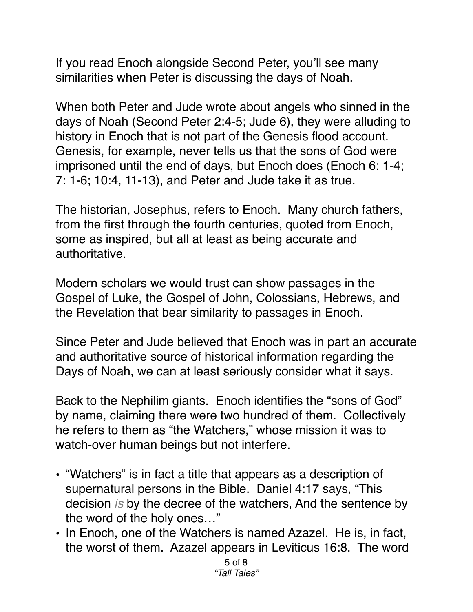If you read Enoch alongside Second Peter, you'll see many similarities when Peter is discussing the days of Noah.

When both Peter and Jude wrote about angels who sinned in the days of Noah (Second Peter 2:4-5; Jude 6), they were alluding to history in Enoch that is not part of the Genesis flood account. Genesis, for example, never tells us that the sons of God were imprisoned until the end of days, but Enoch does (Enoch 6: 1-4; 7: 1-6; 10:4, 11-13), and Peter and Jude take it as true.

The historian, Josephus, refers to Enoch. Many church fathers, from the first through the fourth centuries, quoted from Enoch, some as inspired, but all at least as being accurate and authoritative.

Modern scholars we would trust can show passages in the Gospel of Luke, the Gospel of John, Colossians, Hebrews, and the Revelation that bear similarity to passages in Enoch.

Since Peter and Jude believed that Enoch was in part an accurate and authoritative source of historical information regarding the Days of Noah, we can at least seriously consider what it says.

Back to the Nephilim giants. Enoch identifies the "sons of God" by name, claiming there were two hundred of them. Collectively he refers to them as "the Watchers," whose mission it was to watch-over human beings but not interfere.

- "Watchers" is in fact a title that appears as a description of supernatural persons in the Bible. Daniel 4:17 says, "This decision *is* by the decree of the watchers, And the sentence by the word of the holy ones…"
- In Enoch, one of the Watchers is named Azazel. He is, in fact, the worst of them. Azazel appears in Leviticus 16:8. The word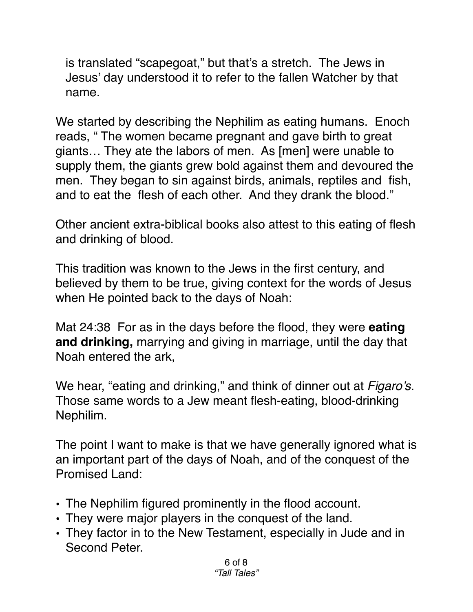is translated "scapegoat," but that's a stretch. The Jews in Jesus' day understood it to refer to the fallen Watcher by that name.

We started by describing the Nephilim as eating humans. Enoch reads, " The women became pregnant and gave birth to great giants… They ate the labors of men. As [men] were unable to supply them, the giants grew bold against them and devoured the men. They began to sin against birds, animals, reptiles and fish, and to eat the flesh of each other. And they drank the blood."

Other ancient extra-biblical books also attest to this eating of flesh and drinking of blood.

This tradition was known to the Jews in the first century, and believed by them to be true, giving context for the words of Jesus when He pointed back to the days of Noah:

[Mat 24:38](verseid:40.24.38) For as in the days before the flood, they were **eating and drinking,** marrying and giving in marriage, until the day that Noah entered the ark,

We hear, "eating and drinking," and think of dinner out at *Figaro's*. Those same words to a Jew meant flesh-eating, blood-drinking Nephilim.

The point I want to make is that we have generally ignored what is an important part of the days of Noah, and of the conquest of the Promised Land:

- The Nephilim figured prominently in the flood account.
- They were major players in the conquest of the land.
- They factor in to the New Testament, especially in Jude and in Second Peter.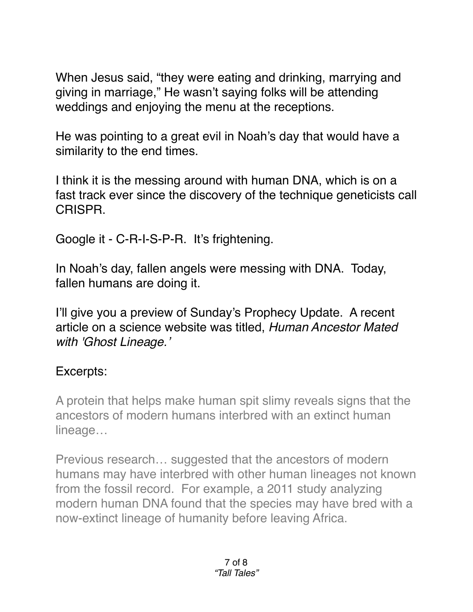When Jesus said, "they were eating and drinking, marrying and giving in marriage," He wasn't saying folks will be attending weddings and enjoying the menu at the receptions.

He was pointing to a great evil in Noah's day that would have a similarity to the end times.

I think it is the messing around with human DNA, which is on a fast track ever since the discovery of the technique geneticists call CRISPR.

Google it - C-R-I-S-P-R. It's frightening.

In Noah's day, fallen angels were messing with DNA. Today, fallen humans are doing it.

I'll give you a preview of Sunday's Prophecy Update. A recent article on a science website was titled, *Human Ancestor Mated with 'Ghost Lineage.'*

## Excerpts:

A protein that helps make human spit slimy reveals signs that the ancestors of modern humans interbred with an extinct human lineage…

Previous research… suggested that the ancestors of modern humans may have interbred with other human lineages not known from the fossil record. For example, a 2011 study analyzing modern human DNA found that the species may have bred with a now-extinct lineage of humanity before leaving Africa.